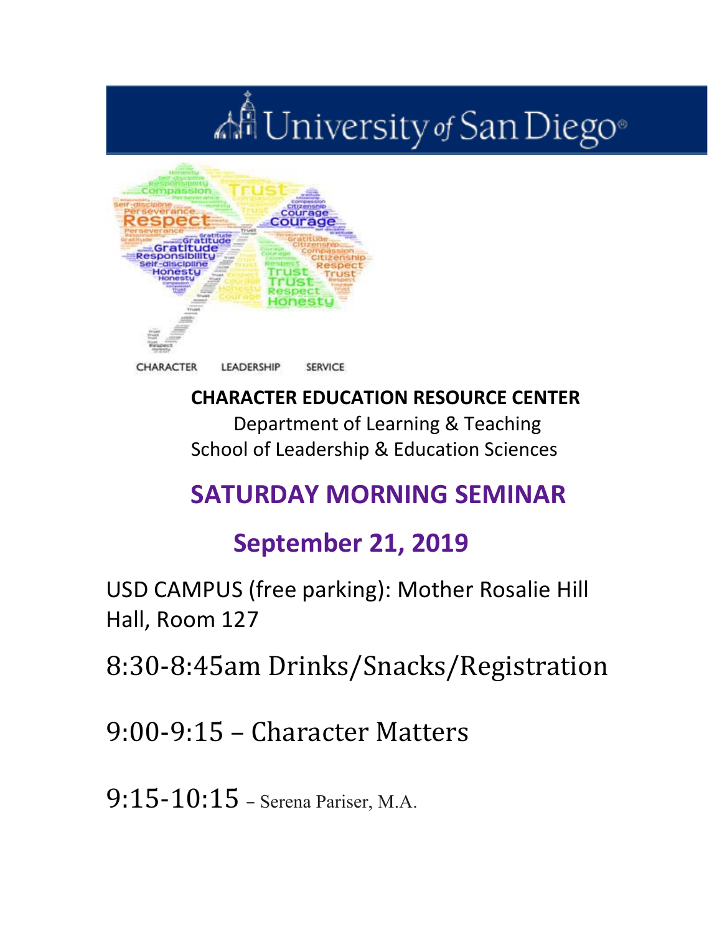# All University of San Diego®



### **CHARACTER EDUCATION RESOURCE CENTER**

Department of Learning & Teaching School of Leadership & Education Sciences

### **SATURDAY MORNING SEMINAR**

### **September 21, 2019**

USD CAMPUS (free parking): Mother Rosalie Hill Hall, Room 127

8:30-8:45am Drinks/Snacks/Registration

 $9:00-9:15$  – Character Matters

 $9:15-10:15$  – Serena Pariser, M.A.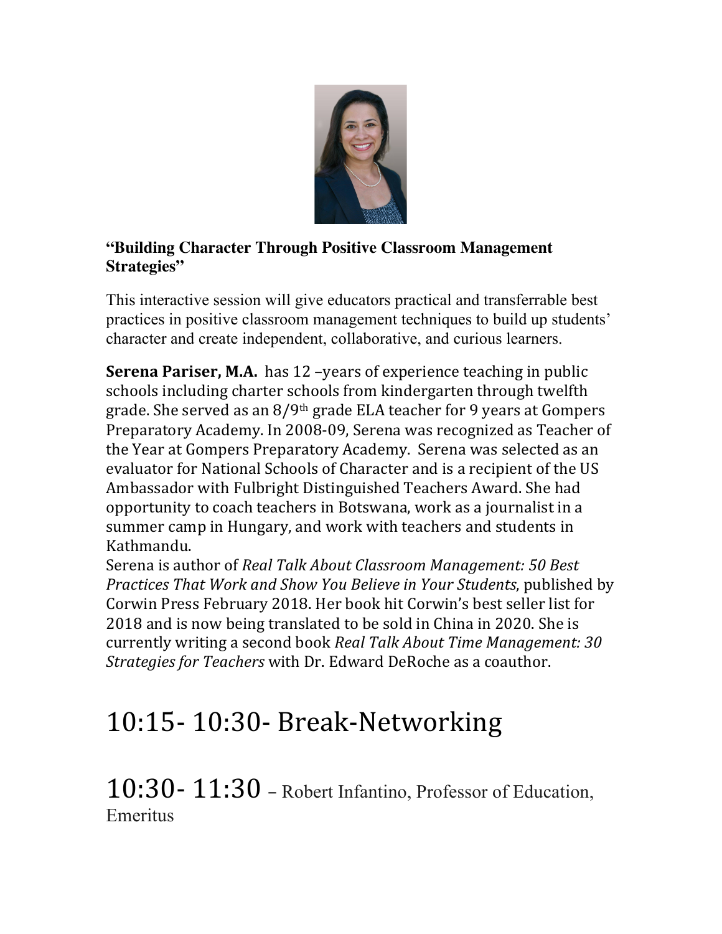

#### **"Building Character Through Positive Classroom Management Strategies"**

This interactive session will give educators practical and transferrable best practices in positive classroom management techniques to build up students' character and create independent, collaborative, and curious learners.

**Serena Pariser, M.A.** has 12 -years of experience teaching in public schools including charter schools from kindergarten through twelfth grade. She served as an  $8/9$ <sup>th</sup> grade ELA teacher for 9 years at Gompers Preparatory Academy. In 2008-09, Serena was recognized as Teacher of the Year at Gompers Preparatory Academy. Serena was selected as an evaluator for National Schools of Character and is a recipient of the US Ambassador with Fulbright Distinguished Teachers Award. She had opportunity to coach teachers in Botswana, work as a journalist in a summer camp in Hungary, and work with teachers and students in Kathmandu. 

Serena is author of *Real Talk About Classroom Management:* 50 Best *Practices That Work and Show You Believe in Your Students, published by* Corwin Press February 2018. Her book hit Corwin's best seller list for 2018 and is now being translated to be sold in China in 2020. She is currently writing a second book *Real Talk About Time Management: 30 Strategies for Teachers* with Dr. Edward DeRoche as a coauthor.

## 10:15- 10:30- Break-Networking

10:30- 11:30 – Robert Infantino, Professor of Education, Emeritus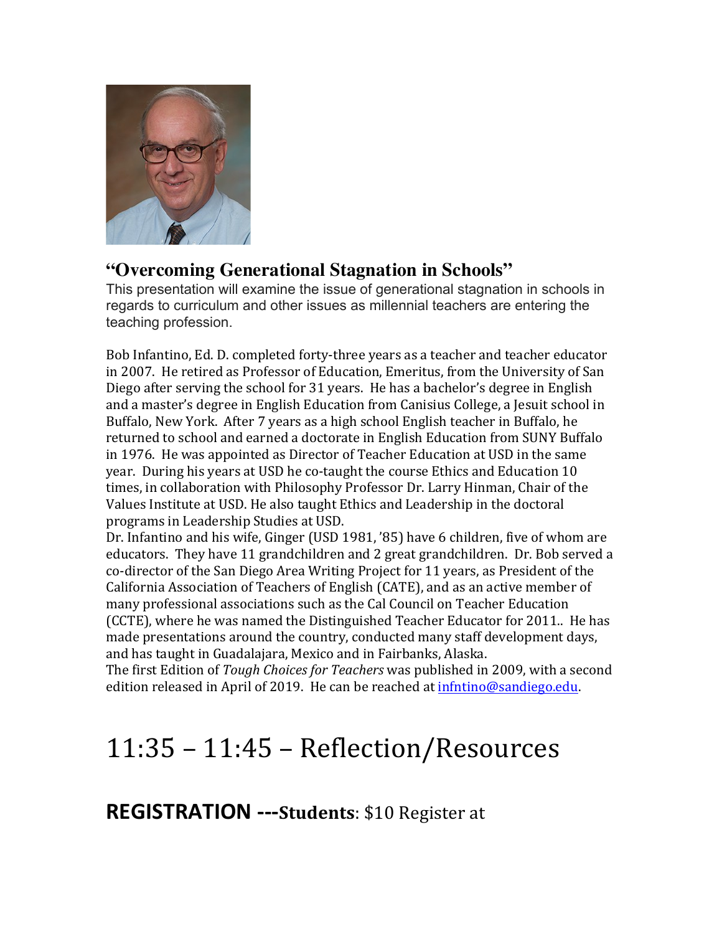

#### **"Overcoming Generational Stagnation in Schools"**

This presentation will examine the issue of generational stagnation in schools in regards to curriculum and other issues as millennial teachers are entering the teaching profession.

Bob Infantino, Ed. D. completed forty-three years as a teacher and teacher educator in 2007. He retired as Professor of Education, Emeritus, from the University of San Diego after serving the school for 31 years. He has a bachelor's degree in English and a master's degree in English Education from Canisius College, a Jesuit school in Buffalo, New York. After 7 years as a high school English teacher in Buffalo, he returned to school and earned a doctorate in English Education from SUNY Buffalo in 1976. He was appointed as Director of Teacher Education at USD in the same year. During his years at USD he co-taught the course Ethics and Education 10 times, in collaboration with Philosophy Professor Dr. Larry Hinman, Chair of the Values Institute at USD. He also taught Ethics and Leadership in the doctoral programs in Leadership Studies at USD.

Dr. Infantino and his wife, Ginger (USD 1981, '85) have 6 children, five of whom are educators. They have 11 grandchildren and 2 great grandchildren. Dr. Bob served a co-director of the San Diego Area Writing Project for 11 years, as President of the California Association of Teachers of English (CATE), and as an active member of many professional associations such as the Cal Council on Teacher Education (CCTE), where he was named the Distinguished Teacher Educator for 2011.. He has made presentations around the country, conducted many staff development days, and has taught in Guadalajara, Mexico and in Fairbanks, Alaska.

The first Edition of *Tough Choices for Teachers* was published in 2009, with a second edition released in April of 2019. He can be reached at infintino@sandiego.edu.

### 11:35 – 11:45 – Reflection/Resources

**REGISTRATION** ---Students: \$10 Register at